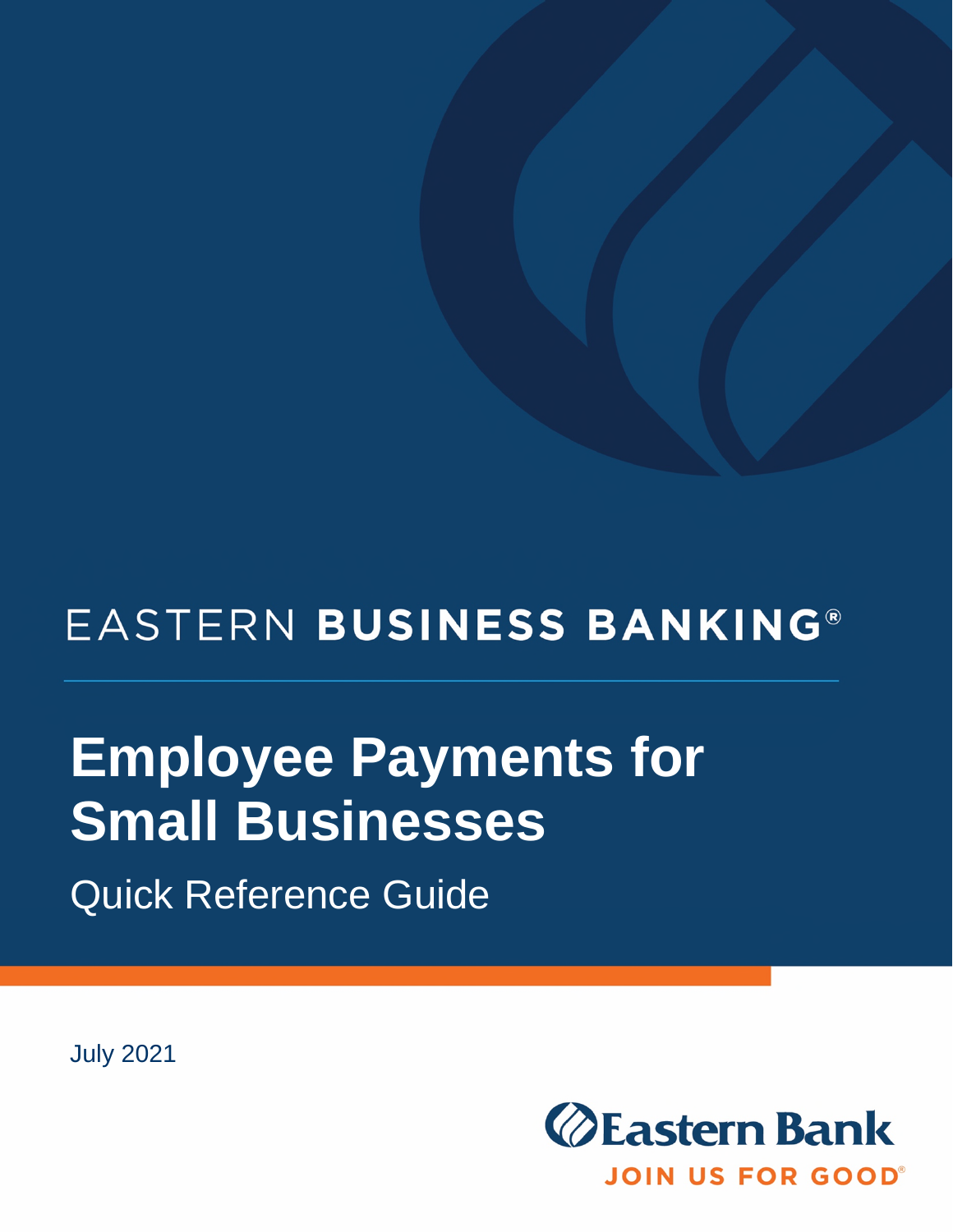## EASTERN BUSINESS BANKING®

# **Employee Payments for Small Businesses**

Quick Reference Guide

July 2021

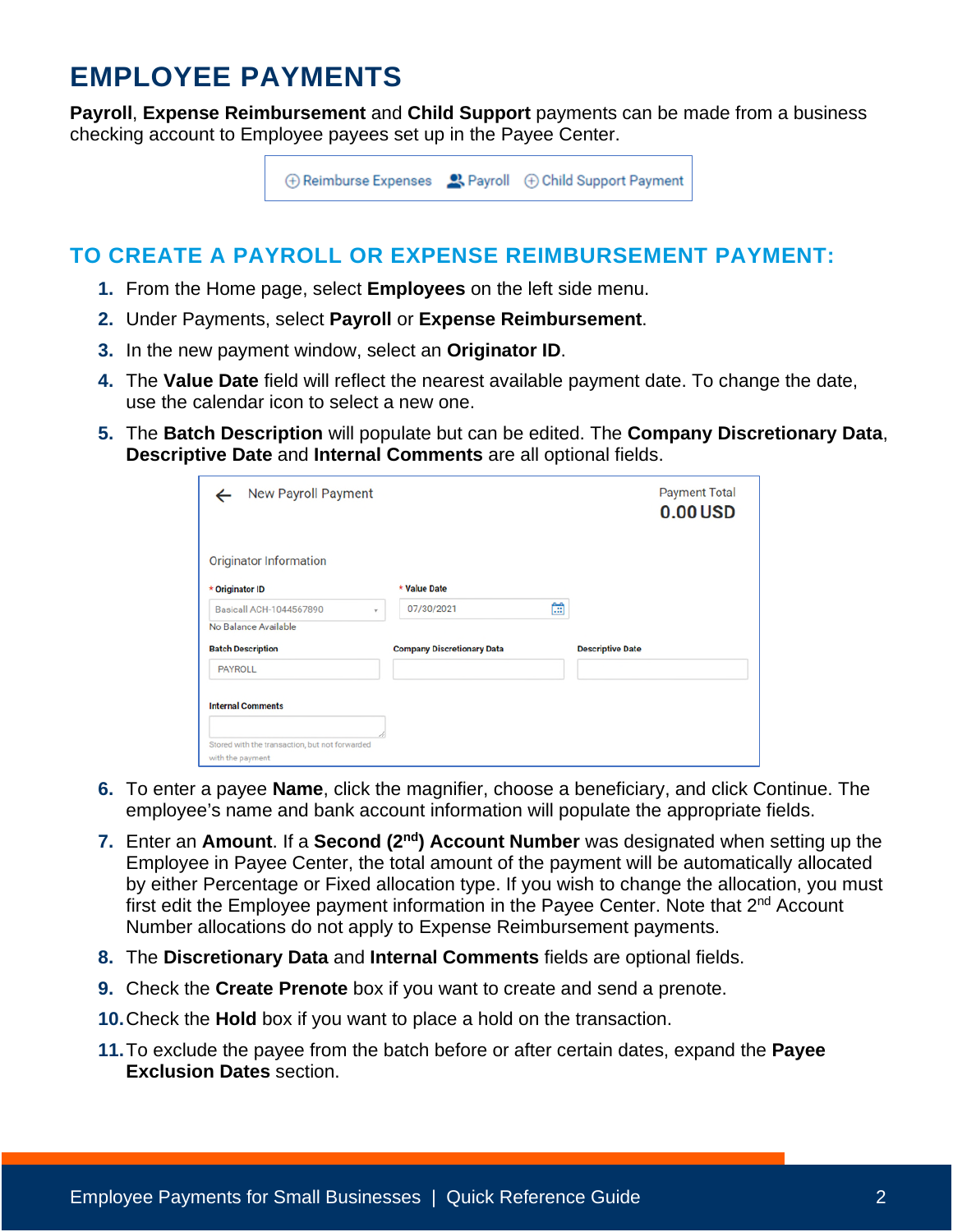### **EMPLOYEE PAYMENTS**

**Payroll**, **Expense Reimbursement** and **Child Support** payments can be made from a business checking account to Employee payees set up in the Payee Center.



#### **TO CREATE A PAYROLL OR EXPENSE REIMBURSEMENT PAYMENT:**

- **1.** From the Home page, select **Employees** on the left side menu.
- **2.** Under Payments, select **Payroll** or **Expense Reimbursement**.
- **3.** In the new payment window, select an **Originator ID**.
- **4.** The **Value Date** field will reflect the nearest available payment date. To change the date, use the calendar icon to select a new one.
- **5.** The **Batch Description** will populate but can be edited. The **Company Discretionary Data**, **Descriptive Date** and **Internal Comments** are all optional fields.

| Ħ |                                                                 |  |
|---|-----------------------------------------------------------------|--|
|   |                                                                 |  |
|   | <b>Descriptive Date</b>                                         |  |
|   |                                                                 |  |
|   | * Value Date<br>07/30/2021<br><b>Company Discretionary Data</b> |  |

- **6.** To enter a payee **Name**, click the magnifier, choose a beneficiary, and click Continue. The employee's name and bank account information will populate the appropriate fields.
- **7.** Enter an **Amount**. If a **Second (2nd) Account Number** was designated when setting up the Employee in Payee Center, the total amount of the payment will be automatically allocated by either Percentage or Fixed allocation type. If you wish to change the allocation, you must first edit the Employee payment information in the Payee Center. Note that 2<sup>nd</sup> Account Number allocations do not apply to Expense Reimbursement payments.
- **8.** The **Discretionary Data** and **Internal Comments** fields are optional fields.
- **9.** Check the **Create Prenote** box if you want to create and send a prenote.
- **10.** Check the **Hold** box if you want to place a hold on the transaction.
- **11.** To exclude the payee from the batch before or after certain dates, expand the **Payee Exclusion Dates** section.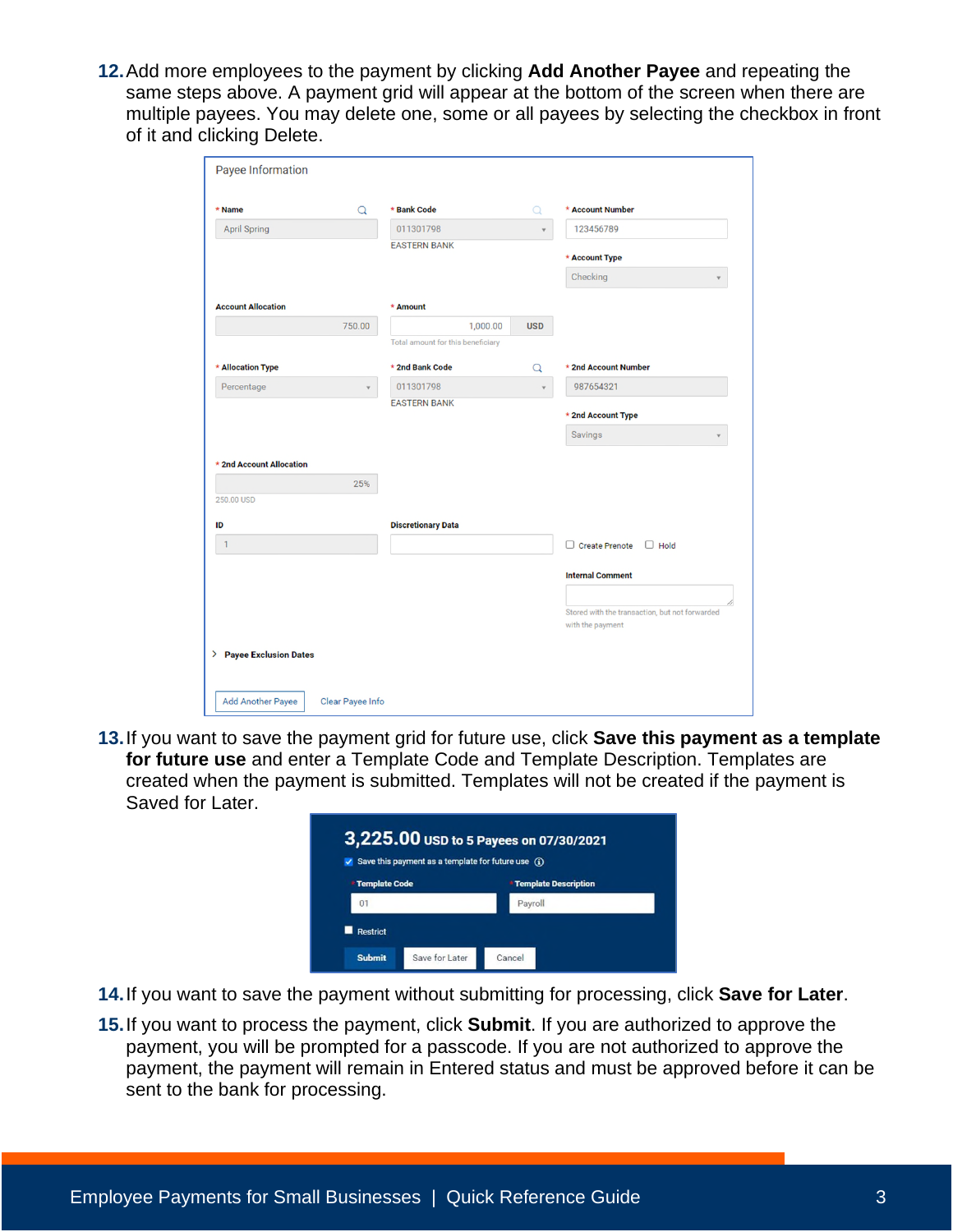**12.** Add more employees to the payment by clicking **Add Another Payee** and repeating the same steps above. A payment grid will appear at the bottom of the screen when there are multiple payees. You may delete one, some or all payees by selecting the checkbox in front of it and clicking Delete.

|        |                                   | $\alpha$   |                                                                    |
|--------|-----------------------------------|------------|--------------------------------------------------------------------|
|        | 011301798                         |            | 123456789                                                          |
|        | <b>EASTERN BANK</b>               |            | * Account Type                                                     |
|        |                                   |            | Checking                                                           |
|        |                                   |            |                                                                    |
|        | * Amount                          |            |                                                                    |
| 750.00 | 1,000.00                          | <b>USD</b> |                                                                    |
|        | Total amount for this beneficiary |            |                                                                    |
|        | * 2nd Bank Code                   | Q          | * 2nd Account Number                                               |
|        | 011301798                         |            | 987654321                                                          |
|        | <b>EASTERN BANK</b>               |            |                                                                    |
|        |                                   |            | * 2nd Account Type                                                 |
|        |                                   |            | Savings                                                            |
|        |                                   |            |                                                                    |
|        |                                   |            |                                                                    |
|        |                                   |            |                                                                    |
|        |                                   |            |                                                                    |
|        |                                   |            |                                                                    |
|        | <b>Discretionary Data</b>         |            |                                                                    |
|        |                                   |            | $\Box$ Create Prenote<br>$\Box$ Hold                               |
|        |                                   |            |                                                                    |
|        |                                   |            | <b>Internal Comment</b>                                            |
|        |                                   |            |                                                                    |
|        |                                   |            | Stored with the transaction, but not forwarded<br>with the payment |
|        |                                   |            |                                                                    |
|        | 25%                               |            |                                                                    |

**13.** If you want to save the payment grid for future use, click **Save this payment as a template for future use** and enter a Template Code and Template Description. Templates are created when the payment is submitted. Templates will not be created if the payment is Saved for Later.

| Save this payment as a template for future use $\mathbf G$ |                               |  |  |  |  |  |
|------------------------------------------------------------|-------------------------------|--|--|--|--|--|
| <b>* Template Code</b>                                     | <b>* Template Description</b> |  |  |  |  |  |
| 01                                                         | Payroll                       |  |  |  |  |  |

- **14.** If you want to save the payment without submitting for processing, click **Save for Later**.
- **15.** If you want to process the payment, click **Submit**. If you are authorized to approve the payment, you will be prompted for a passcode. If you are not authorized to approve the payment, the payment will remain in Entered status and must be approved before it can be sent to the bank for processing.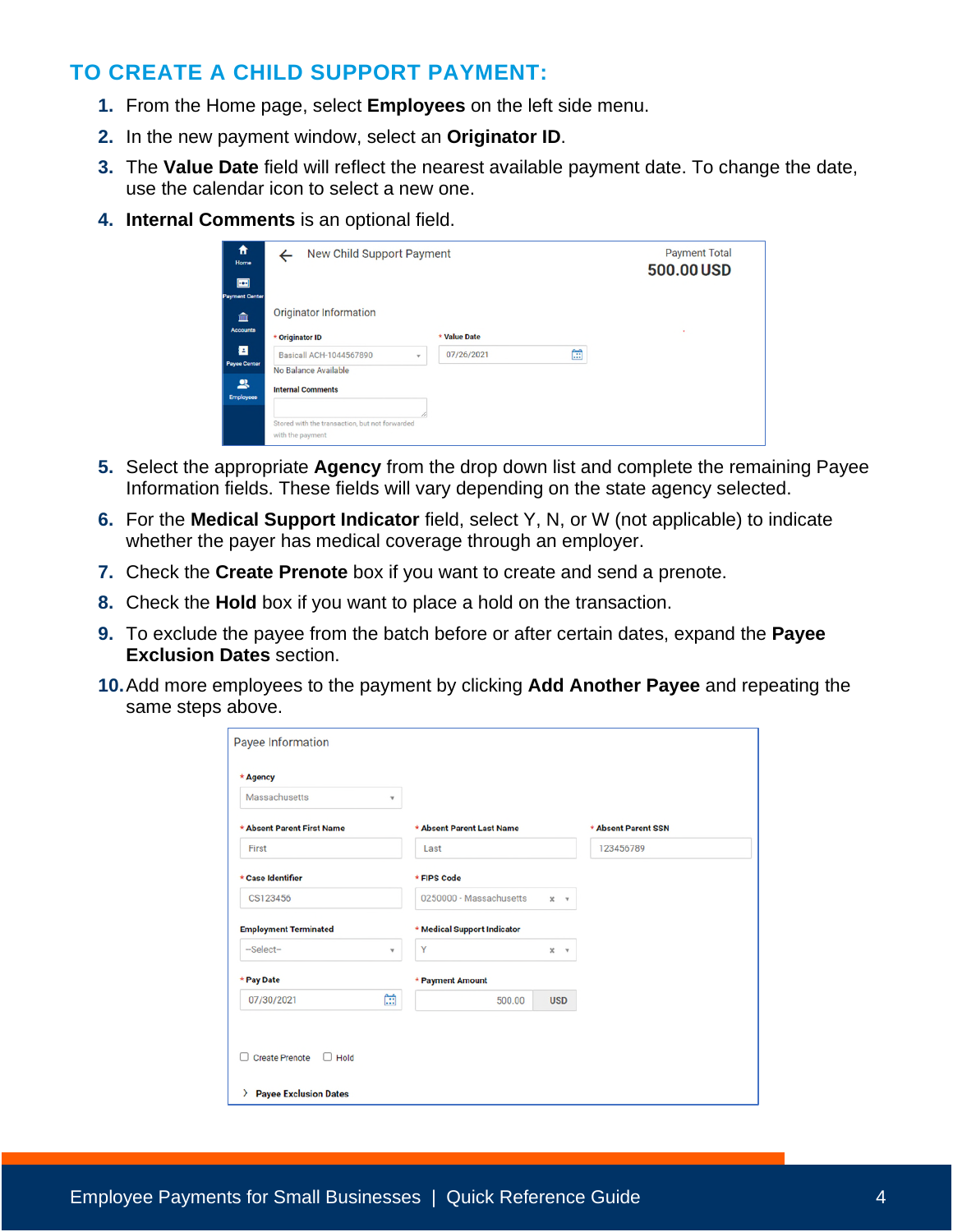#### **TO CREATE A CHILD SUPPORT PAYMENT:**

- **1.** From the Home page, select **Employees** on the left side menu.
- **2.** In the new payment window, select an **Originator ID**.
- **3.** The **Value Date** field will reflect the nearest available payment date. To change the date, use the calendar icon to select a new one.
- **4. Internal Comments** is an optional field.

| 合<br>Home<br>$\blacksquare$                       | New Child Support Payment                                                                  |                 | <b>Payment Total</b><br>500.00 USD |
|---------------------------------------------------|--------------------------------------------------------------------------------------------|-----------------|------------------------------------|
| <b>Payment Center</b><br>m<br>Accounts            | <b>Originator Information</b><br>* Originator ID                                           | * Value Date    | ٠                                  |
| а<br><b>Payee Center</b><br>鸟<br><b>Employees</b> | <b>Basicall ACH-1044567890</b><br>$\;$<br>No Balance Available<br><b>Internal Comments</b> | 曲<br>07/26/2021 |                                    |
|                                                   | Stored with the transaction, but not forwarded<br>with the payment                         |                 |                                    |

- **5.** Select the appropriate **Agency** from the drop down list and complete the remaining Payee Information fields. These fields will vary depending on the state agency selected.
- **6.** For the **Medical Support Indicator** field, select Y, N, or W (not applicable) to indicate whether the payer has medical coverage through an employer.
- **7.** Check the **Create Prenote** box if you want to create and send a prenote.
- **8.** Check the **Hold** box if you want to place a hold on the transaction.
- **9.** To exclude the payee from the batch before or after certain dates, expand the **Payee Exclusion Dates** section.
- **10.** Add more employees to the payment by clicking **Add Another Payee** and repeating the same steps above.

| $\mathbf{v}$<br>* Absent Parent Last Name<br>Last<br>* FIPS Code<br>0250000 - Massachusetts<br>* Medical Support Indicator<br>Y<br>٧ | $\pmb{\times}$<br>$\mathbf{v}$ | * Absent Parent SSN<br>123456789 |  |
|--------------------------------------------------------------------------------------------------------------------------------------|--------------------------------|----------------------------------|--|
|                                                                                                                                      |                                |                                  |  |
|                                                                                                                                      |                                |                                  |  |
|                                                                                                                                      |                                |                                  |  |
|                                                                                                                                      |                                |                                  |  |
|                                                                                                                                      |                                |                                  |  |
|                                                                                                                                      |                                |                                  |  |
|                                                                                                                                      | $\pmb{\times}$<br>$\mathbf{v}$ |                                  |  |
| * Payment Amount                                                                                                                     |                                |                                  |  |
| Ħ<br>500.00                                                                                                                          | <b>USD</b>                     |                                  |  |
|                                                                                                                                      |                                |                                  |  |
|                                                                                                                                      |                                |                                  |  |
|                                                                                                                                      |                                |                                  |  |
|                                                                                                                                      |                                |                                  |  |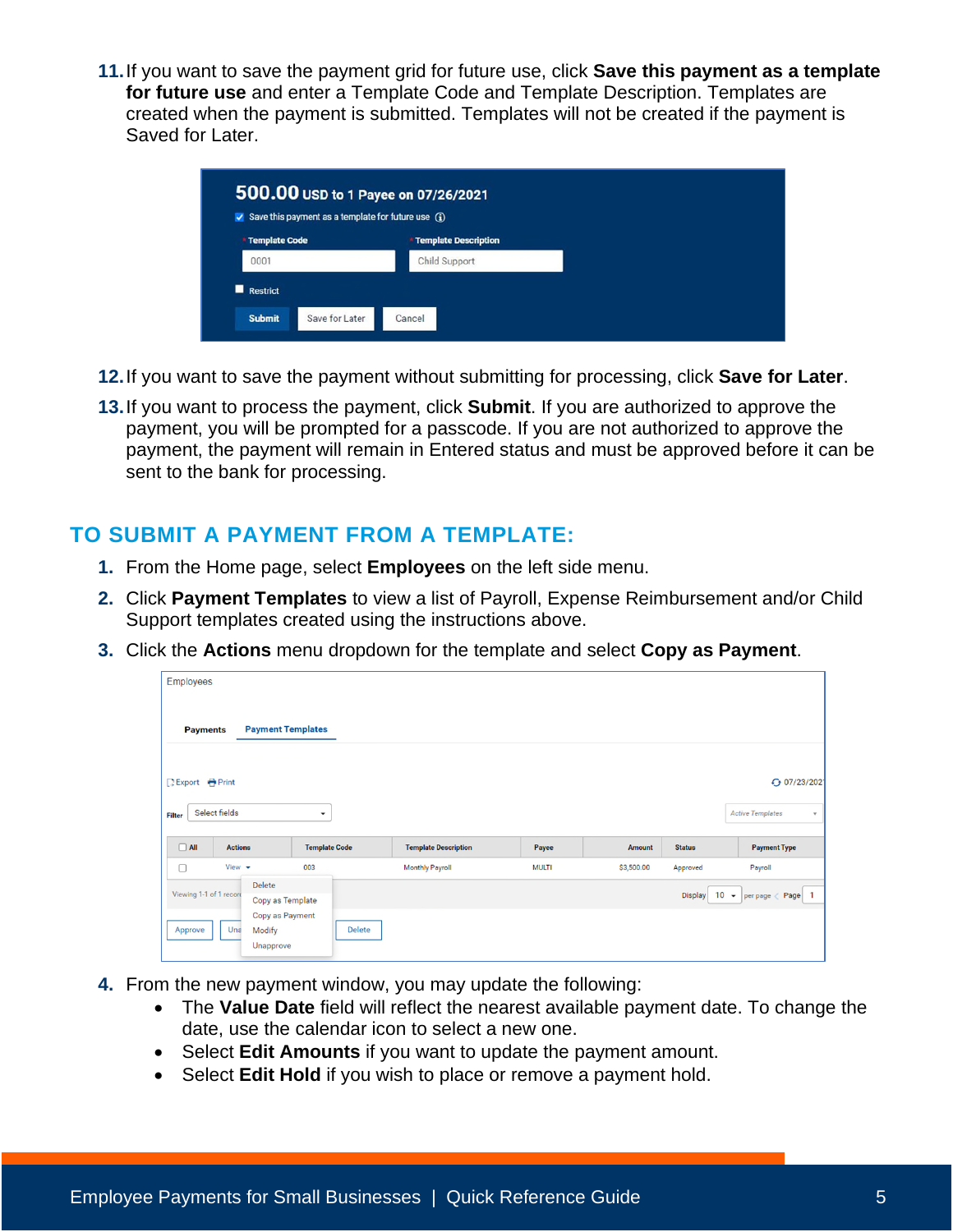**11.** If you want to save the payment grid for future use, click **Save this payment as a template for future use** and enter a Template Code and Template Description. Templates are created when the payment is submitted. Templates will not be created if the payment is Saved for Later.

| 500.00 USD to 1 Payee on 07/26/2021<br>Save this payment as a template for future use $\Omega$ |                             |
|------------------------------------------------------------------------------------------------|-----------------------------|
| Template Code                                                                                  | <b>Template Description</b> |
| 0001                                                                                           | Child Support               |
| Restrict<br><b>Submit</b><br>Save for Later                                                    | Cancel                      |

- **12.** If you want to save the payment without submitting for processing, click **Save for Later**.
- **13.** If you want to process the payment, click **Submit**. If you are authorized to approve the payment, you will be prompted for a passcode. If you are not authorized to approve the payment, the payment will remain in Entered status and must be approved before it can be sent to the bank for processing.

#### **TO SUBMIT A PAYMENT FROM A TEMPLATE:**

- **1.** From the Home page, select **Employees** on the left side menu.
- **2.** Click **Payment Templates** to view a list of Payroll, Expense Reimbursement and/or Child Support templates created using the instructions above.
- **3.** Click the **Actions** menu dropdown for the template and select **Copy as Payment**.

| <b>Employees</b>        |                            |                          |        |                             |              |            |                |                                         |
|-------------------------|----------------------------|--------------------------|--------|-----------------------------|--------------|------------|----------------|-----------------------------------------|
| <b>Payments</b>         |                            | <b>Payment Templates</b> |        |                             |              |            |                |                                         |
| <b>BExport ← Print</b>  |                            |                          |        |                             |              |            |                | ← 07/23/202                             |
| <b>Filter</b>           | Select fields              | $\checkmark$             |        |                             |              |            |                | <b>Active Templates</b><br>$\mathbf{v}$ |
| $\Box$ All              | <b>Actions</b>             | <b>Template Code</b>     |        | <b>Template Description</b> | Payee        | Amount     | <b>Status</b>  | <b>Payment Type</b>                     |
| $\Box$                  | View $\star$               | 003                      |        | <b>Monthly Payroll</b>      | <b>MULTI</b> | \$3,500.00 | Approved       | Payroll                                 |
| Viewing 1-1 of 1 record | Delete                     | Copy as Template         |        |                             |              |            | <b>Display</b> | 10 $\arrow$ per page $\langle$ Page     |
| Approve                 | Una<br>Modify<br>Unapprove | Copy as Payment          | Delete |                             |              |            |                |                                         |

- **4.** From the new payment window, you may update the following:
	- The **Value Date** field will reflect the nearest available payment date. To change the date, use the calendar icon to select a new one.
	- Select **Edit Amounts** if you want to update the payment amount.
	- Select **Edit Hold** if you wish to place or remove a payment hold.